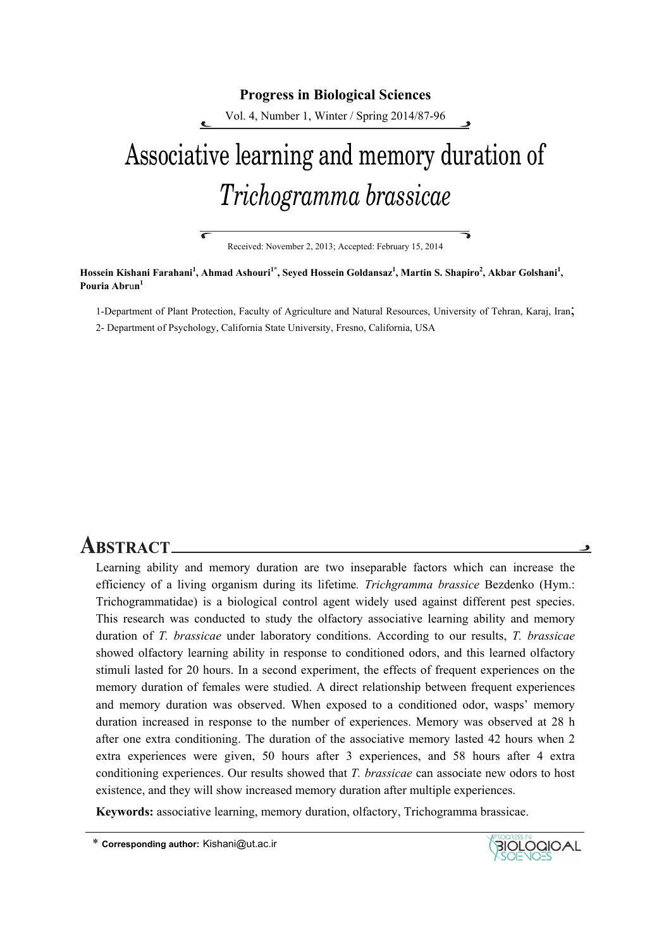#### **Progress in Biological Sciences**

Vol. 4, Number 1, Winter / Spring 2014/87-96

# Associative learning and memory duration of *Trichogramma brassicae*

Received: November 2, 2013; Accepted: February 15, 2014

₹

**Hossein Kishani Farahani<sup>1</sup> , Ahmad Ashouri1\*, Seyed Hossein Goldansaz1 , Martin S. Shapiro<sup>2</sup> , Akbar Golshani<sup>1</sup> , Pouria Abr**u**n1** 

7

1-Department of Plant Protection, Faculty of Agriculture and Natural Resources, University of Tehran, Karaj, Iran; 2- Department of Psychology, California State University, Fresno, California, USA

# **ABSTRACT.**

Learning ability and memory duration are two inseparable factors which can increase the efficiency of a living organism during its lifetime*. Trichgramma brassice* Bezdenko (Hym.: Trichogrammatidae) is a biological control agent widely used against different pest species. This research was conducted to study the olfactory associative learning ability and memory duration of *T. brassicae* under laboratory conditions. According to our results, *T. brassicae* showed olfactory learning ability in response to conditioned odors, and this learned olfactory stimuli lasted for 20 hours. In a second experiment, the effects of frequent experiences on the memory duration of females were studied. A direct relationship between frequent experiences and memory duration was observed. When exposed to a conditioned odor, wasps' memory duration increased in response to the number of experiences. Memory was observed at 28 h after one extra conditioning. The duration of the associative memory lasted 42 hours when 2 extra experiences were given, 50 hours after 3 experiences, and 58 hours after 4 extra conditioning experiences. Our results showed that *T. brassicae* can associate new odors to host existence, and they will show increased memory duration after multiple experiences.

**Keywords:** associative learning, memory duration, olfactory, Trichogramma brassicae.

\* **Corresponding author:** Kishani@ut.ac.ir



و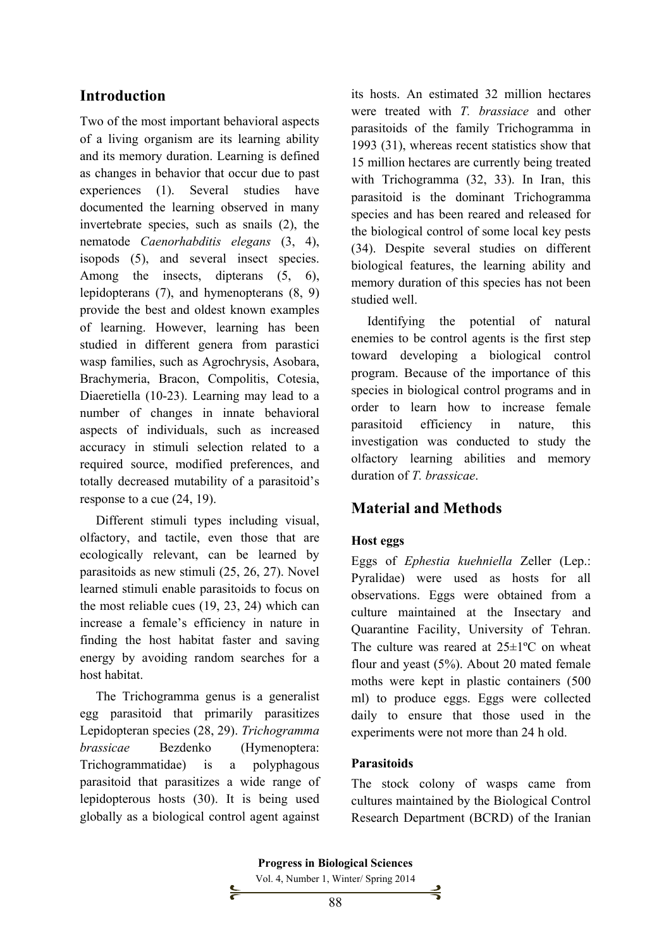## **Introduction**

Two of the most important behavioral aspects of a living organism are its learning ability and its memory duration. Learning is defined as changes in behavior that occur due to past experiences (1). Several studies have documented the learning observed in many invertebrate species, such as snails (2), the nematode *Caenorhabditis elegans* (3, 4), isopods (5), and several insect species. Among the insects, dipterans (5, 6), lepidopterans (7), and hymenopterans (8, 9) provide the best and oldest known examples of learning. However, learning has been studied in different genera from parastici wasp families, such as Agrochrysis, Asobara, Brachymeria, Bracon, Compolitis, Cotesia, Diaeretiella (10-23). Learning may lead to a number of changes in innate behavioral aspects of individuals, such as increased accuracy in stimuli selection related to a required source, modified preferences, and totally decreased mutability of a parasitoid's response to a cue (24, 19).

Different stimuli types including visual, olfactory, and tactile, even those that are ecologically relevant, can be learned by parasitoids as new stimuli (25, 26, 27). Novel learned stimuli enable parasitoids to focus on the most reliable cues (19, 23, 24) which can increase a female's efficiency in nature in finding the host habitat faster and saving energy by avoiding random searches for a host habitat.

The Trichogramma genus is a generalist egg parasitoid that primarily parasitizes Lepidopteran species (28, 29). *Trichogramma brassicae* Bezdenko (Hymenoptera: Trichogrammatidae) is a polyphagous parasitoid that parasitizes a wide range of lepidopterous hosts (30). It is being used globally as a biological control agent against

⊱

its hosts. An estimated 32 million hectares were treated with *T. brassiace* and other parasitoids of the family Trichogramma in 1993 (31), whereas recent statistics show that 15 million hectares are currently being treated with Trichogramma (32, 33). In Iran, this parasitoid is the dominant Trichogramma species and has been reared and released for the biological control of some local key pests (34). Despite several studies on different biological features, the learning ability and memory duration of this species has not been studied well.

Identifying the potential of natural enemies to be control agents is the first step toward developing a biological control program. Because of the importance of this species in biological control programs and in order to learn how to increase female parasitoid efficiency in nature, this investigation was conducted to study the olfactory learning abilities and memory duration of *T. brassicae*.

# **Material and Methods**

#### **Host eggs**

Eggs of *Ephestia kuehniella* Zeller (Lep.: Pyralidae) were used as hosts for all observations. Eggs were obtained from a culture maintained at the Insectary and Quarantine Facility, University of Tehran. The culture was reared at 25±1ºC on wheat flour and yeast (5%). About 20 mated female moths were kept in plastic containers (500 ml) to produce eggs. Eggs were collected daily to ensure that those used in the experiments were not more than 24 h old.

#### **Parasitoids**

The stock colony of wasps came from cultures maintained by the Biological Control Research Department (BCRD) of the Iranian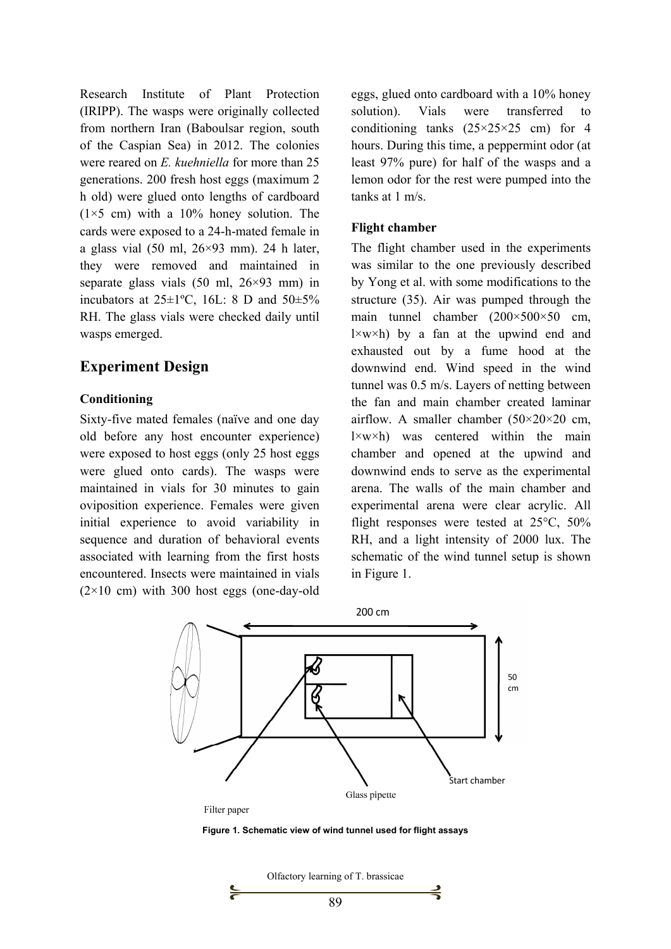Research Institute of Plant Protection (IRIPP). The wasps were originally collected from northern Iran (Baboulsar region, south of the Caspian Sea) in 2012. The colonies were reared on *E. kuehniella* for more than 25 generations. 200 fresh host eggs (maximum 2 h old) were glued onto lengths of cardboard  $(1\times5$  cm) with a 10% honey solution. The cards were exposed to a 24-h-mated female in a glass vial  $(50 \text{ ml}, 26 \times 93 \text{ mm})$ . 24 h later, they were removed and maintained in separate glass vials  $(50 \text{ ml}, 26 \times 93 \text{ mm})$  in incubators at  $25\pm1$ °C, 16L: 8 D and  $50\pm5\%$ RH. The glass vials were checked daily until wasps emerged.

# **Experiment Design**

#### **Conditioning**

Sixty-five mated females (naïve and one day old before any host encounter experience) were exposed to host eggs (only 25 host eggs were glued onto cards). The wasps were maintained in vials for 30 minutes to gain oviposition experience. Females were given initial experience to avoid variability in sequence and duration of behavioral events associated with learning from the first hosts encountered. Insects were maintained in vials  $(2\times10$  cm) with 300 host eggs (one-day-old eggs, glued onto cardboard with a 10% honey solution). Vials were transferred to conditioning tanks  $(25\times25\times25$  cm) for 4 hours. During this time, a peppermint odor (at least 97% pure) for half of the wasps and a lemon odor for the rest were pumped into the tanks at 1 m/s.

#### **Flight chamber**

The flight chamber used in the experiments was similar to the one previously described by Yong et al. with some modifications to the structure (35). Air was pumped through the main tunnel chamber (200×500×50 cm,  $l \times w \times h$ ) by a fan at the upwind end and exhausted out by a fume hood at the downwind end. Wind speed in the wind tunnel was 0.5 m/s. Layers of netting between the fan and main chamber created laminar airflow. A smaller chamber  $(50\times20\times20$  cm,  $l \times w \times h$ ) was centered within the main chamber and opened at the upwind and downwind ends to serve as the experimental arena. The walls of the main chamber and experimental arena were clear acrylic. All flight responses were tested at 25°C, 50% RH, and a light intensity of 2000 lux. The schematic of the wind tunnel setup is shown in Figure 1.



Filter paper

**Figure 1. Schematic view of wind tunnel used for flight assays** 

Olfactory learning of T. brassicae 89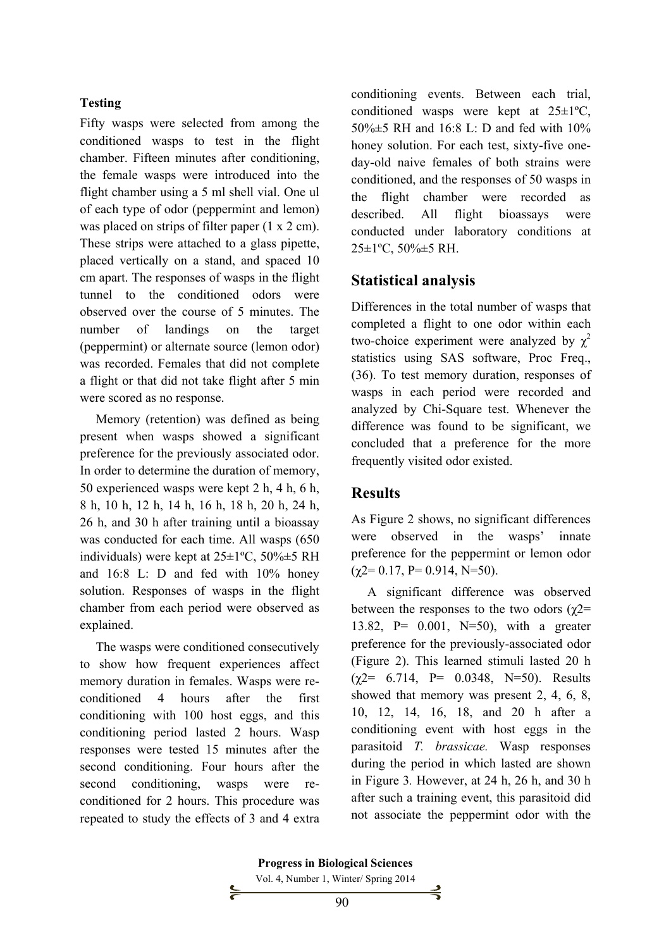#### **Testing**

Fifty wasps were selected from among the conditioned wasps to test in the flight chamber. Fifteen minutes after conditioning, the female wasps were introduced into the flight chamber using a 5 ml shell vial. One ul of each type of odor (peppermint and lemon) was placed on strips of filter paper (1 x 2 cm). These strips were attached to a glass pipette, placed vertically on a stand, and spaced 10 cm apart. The responses of wasps in the flight tunnel to the conditioned odors were observed over the course of 5 minutes. The number of landings on the target (peppermint) or alternate source (lemon odor) was recorded. Females that did not complete a flight or that did not take flight after 5 min were scored as no response.

Memory (retention) was defined as being present when wasps showed a significant preference for the previously associated odor. In order to determine the duration of memory, 50 experienced wasps were kept 2 h, 4 h, 6 h, 8 h, 10 h, 12 h, 14 h, 16 h, 18 h, 20 h, 24 h, 26 h, and 30 h after training until a bioassay was conducted for each time. All wasps (650 individuals) were kept at 25±1ºC, 50%±5 RH and 16:8 L: D and fed with 10% honey solution. Responses of wasps in the flight chamber from each period were observed as explained.

The wasps were conditioned consecutively to show how frequent experiences affect memory duration in females. Wasps were reconditioned 4 hours after the first conditioning with 100 host eggs, and this conditioning period lasted 2 hours. Wasp responses were tested 15 minutes after the second conditioning. Four hours after the second conditioning, wasps were reconditioned for 2 hours. This procedure was repeated to study the effects of 3 and 4 extra conditioning events. Between each trial, conditioned wasps were kept at 25±1ºC, 50%±5 RH and 16:8 L: D and fed with 10% honey solution. For each test, sixty-five oneday-old naive females of both strains were conditioned, and the responses of 50 wasps in the flight chamber were recorded as described. All flight bioassays were conducted under laboratory conditions at  $25 \pm 1$ °C,  $50\% \pm 5$  RH.

## **Statistical analysis**

Differences in the total number of wasps that completed a flight to one odor within each two-choice experiment were analyzed by  $\gamma^2$ statistics using SAS software, Proc Freq., (36). To test memory duration, responses of wasps in each period were recorded and analyzed by Chi-Square test. Whenever the difference was found to be significant, we concluded that a preference for the more frequently visited odor existed.

## **Results**

As Figure 2 shows, no significant differences were observed in the wasps' innate preference for the peppermint or lemon odor  $(\gamma 2= 0.17, P= 0.914, N=50).$ 

A significant difference was observed between the responses to the two odors ( $\chi$ 2= 13.82, P= 0.001, N=50), with a greater preference for the previously-associated odor (Figure 2). This learned stimuli lasted 20 h  $(\chi2= 6.714, P= 0.0348, N=50)$ . Results showed that memory was present 2, 4, 6, 8, 10, 12, 14, 16, 18, and 20 h after a conditioning event with host eggs in the parasitoid *T. brassicae.* Wasp responses during the period in which lasted are shown in Figure 3*.* However, at 24 h, 26 h, and 30 h after such a training event, this parasitoid did not associate the peppermint odor with the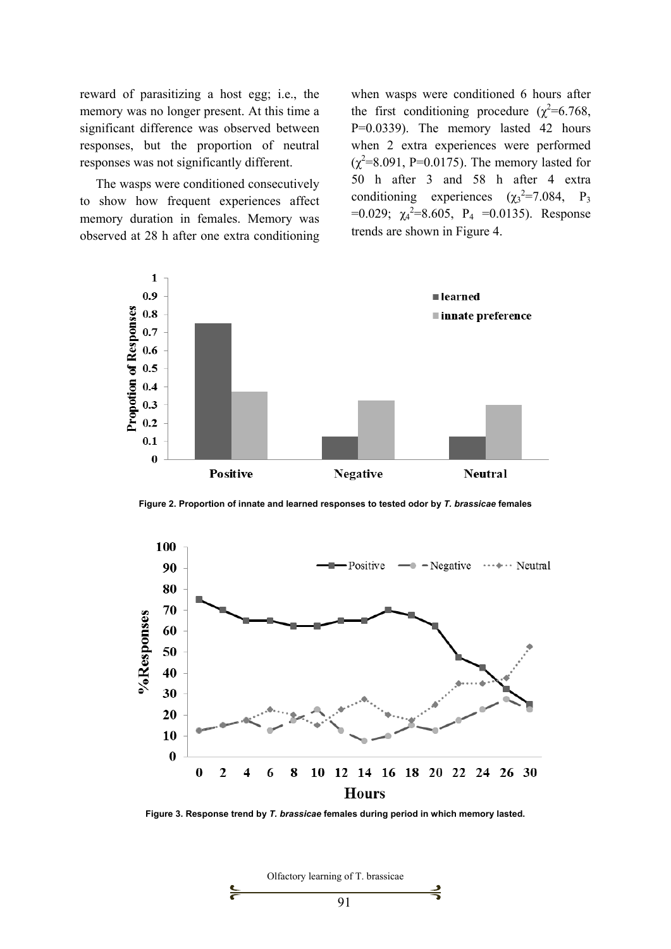reward of parasitizing a host egg; i.e., the memory was no longer present. At this time a significant difference was observed between responses, but the proportion of neutral responses was not significantly different.

The wasps were conditioned consecutively to show how frequent experiences affect memory duration in females. Memory was observed at 28 h after one extra conditioning when wasps were conditioned 6 hours after the first conditioning procedure ( $\chi^2$ =6.768, P=0.0339). The memory lasted 42 hours when 2 extra experiences were performed  $(\chi^2=8.091, P=0.0175)$ . The memory lasted for 50 h after 3 and 58 h after 4 extra conditioning experiences  $(\chi_3^2 = 7.084, P_3)$  $=0.029$ ;  $\chi_4^2=8.605$ ,  $P_4 = 0.0135$ ). Response trends are shown in Figure 4.



**Figure 2. Proportion of innate and learned responses to tested odor by** *T. brassicae* **females** 



**Figure 3. Response trend by** *T. brassicae* **females during period in which memory lasted.** 

Olfactory learning of T. brassicae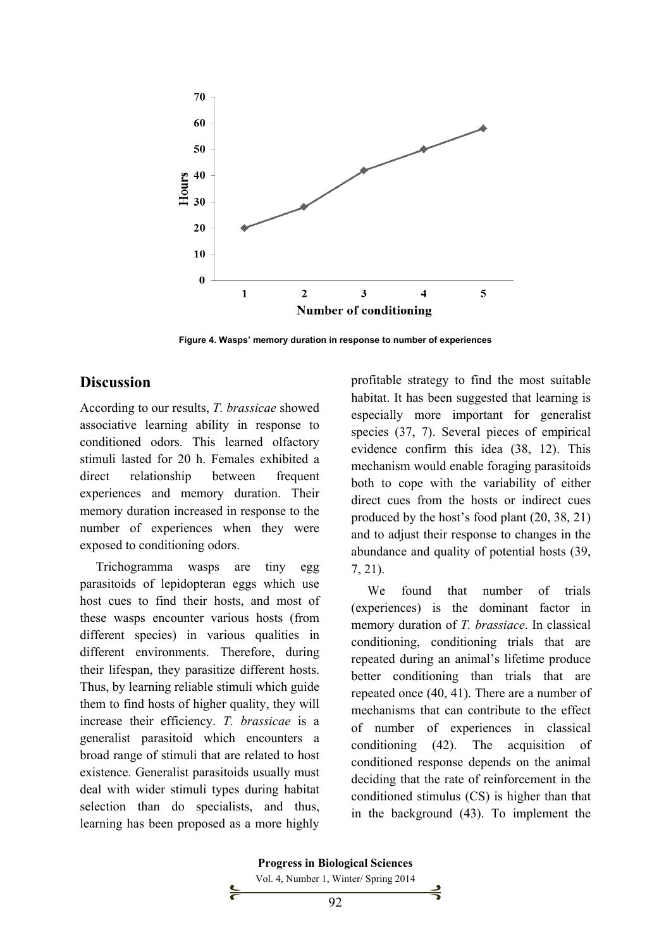

**Figure 4. Wasps' memory duration in response to number of experiences** 

#### **Discussion**

According to our results, *T. brassicae* showed associative learning ability in response to conditioned odors. This learned olfactory stimuli lasted for 20 h. Females exhibited a direct relationship between frequent experiences and memory duration. Their memory duration increased in response to the number of experiences when they were exposed to conditioning odors.

Trichogramma wasps are tiny egg parasitoids of lepidopteran eggs which use host cues to find their hosts, and most of these wasps encounter various hosts (from different species) in various qualities in different environments. Therefore, during their lifespan, they parasitize different hosts. Thus, by learning reliable stimuli which guide them to find hosts of higher quality, they will increase their efficiency. *T. brassicae* is a generalist parasitoid which encounters a broad range of stimuli that are related to host existence. Generalist parasitoids usually must deal with wider stimuli types during habitat selection than do specialists, and thus, learning has been proposed as a more highly profitable strategy to find the most suitable habitat. It has been suggested that learning is especially more important for generalist species (37, 7). Several pieces of empirical evidence confirm this idea (38, 12). This mechanism would enable foraging parasitoids both to cope with the variability of either direct cues from the hosts or indirect cues produced by the host's food plant (20, 38, 21) and to adjust their response to changes in the abundance and quality of potential hosts (39, 7, 21).

We found that number of trials (experiences) is the dominant factor in memory duration of *T. brassiace*. In classical conditioning, conditioning trials that are repeated during an animal's lifetime produce better conditioning than trials that are repeated once (40, 41). There are a number of mechanisms that can contribute to the effect of number of experiences in classical conditioning (42). The acquisition of conditioned response depends on the animal deciding that the rate of reinforcement in the conditioned stimulus (CS) is higher than that in the background (43). To implement the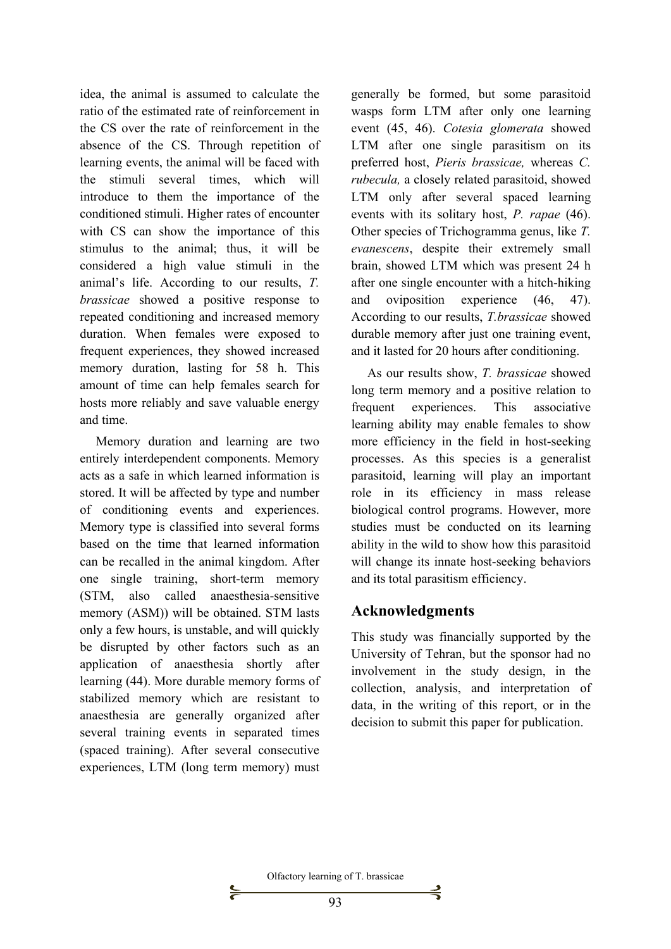idea, the animal is assumed to calculate the ratio of the estimated rate of reinforcement in the CS over the rate of reinforcement in the absence of the CS. Through repetition of learning events, the animal will be faced with the stimuli several times, which will introduce to them the importance of the conditioned stimuli. Higher rates of encounter with CS can show the importance of this stimulus to the animal; thus, it will be considered a high value stimuli in the animal's life. According to our results, *T. brassicae* showed a positive response to repeated conditioning and increased memory duration. When females were exposed to frequent experiences, they showed increased memory duration, lasting for 58 h. This amount of time can help females search for hosts more reliably and save valuable energy and time.

Memory duration and learning are two entirely interdependent components. Memory acts as a safe in which learned information is stored. It will be affected by type and number of conditioning events and experiences. Memory type is classified into several forms based on the time that learned information can be recalled in the animal kingdom. After one single training, short-term memory (STM, also called anaesthesia-sensitive memory (ASM)) will be obtained. STM lasts only a few hours, is unstable, and will quickly be disrupted by other factors such as an application of anaesthesia shortly after learning (44). More durable memory forms of stabilized memory which are resistant to anaesthesia are generally organized after several training events in separated times (spaced training). After several consecutive experiences, LTM (long term memory) must

 $\mathsf{S}$ 

generally be formed, but some parasitoid wasps form LTM after only one learning event (45, 46). *Cotesia glomerata* showed LTM after one single parasitism on its preferred host, *Pieris brassicae,* whereas *C. rubecula,* a closely related parasitoid, showed LTM only after several spaced learning events with its solitary host, *P. rapae* (46). Other species of Trichogramma genus, like *T. evanescens*, despite their extremely small brain, showed LTM which was present 24 h after one single encounter with a hitch-hiking and oviposition experience (46, 47). According to our results, *T.brassicae* showed durable memory after just one training event, and it lasted for 20 hours after conditioning.

As our results show, *T. brassicae* showed long term memory and a positive relation to frequent experiences. This associative learning ability may enable females to show more efficiency in the field in host-seeking processes. As this species is a generalist parasitoid, learning will play an important role in its efficiency in mass release biological control programs. However, more studies must be conducted on its learning ability in the wild to show how this parasitoid will change its innate host-seeking behaviors and its total parasitism efficiency.

# **Acknowledgments**

This study was financially supported by the University of Tehran, but the sponsor had no involvement in the study design, in the collection, analysis, and interpretation of data, in the writing of this report, or in the decision to submit this paper for publication.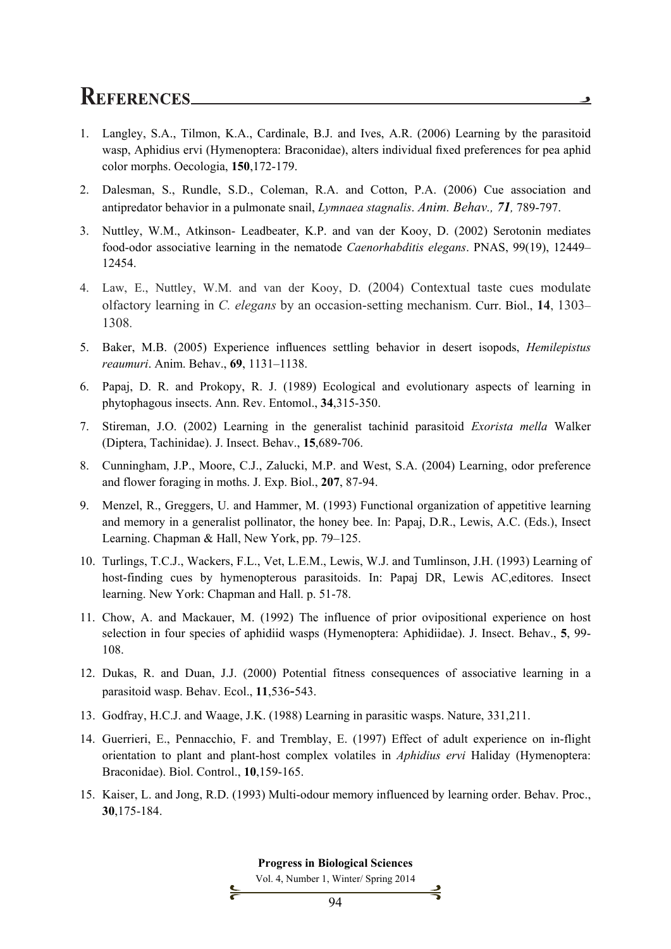# **REFERENCES**

1. Langley, S.A., Tilmon, K.A., Cardinale, B.J. and Ives, A.R. (2006) Learning by the parasitoid wasp, Aphidius ervi (Hymenoptera: Braconidae), alters individual fixed preferences for pea aphid color morphs. Oecologia, **150**,172-179.

و

- 2. Dalesman, S., Rundle, S.D., Coleman, R.A. and Cotton, P.A. (2006) Cue association and antipredator behavior in a pulmonate snail, *Lymnaea stagnalis*. *Anim. Behav., 71,* 789-797.
- 3. Nuttley, W.M., Atkinson- Leadbeater, K.P. and van der Kooy, D. (2002) Serotonin mediates food-odor associative learning in the nematode *Caenorhabditis elegans*. PNAS, 99(19), 12449– 12454.
- 4. Law, E., Nuttley, W.M. and van der Kooy, D. (2004) Contextual taste cues modulate olfactory learning in *C. elegans* by an occasion-setting mechanism. Curr. Biol., **14**, 1303– 1308.
- 5. Baker, M.B. (2005) Experience influences settling behavior in desert isopods, *Hemilepistus reaumuri*. Anim. Behav., **69**, 1131–1138.
- 6. Papaj, D. R. and Prokopy, R. J. (1989) Ecological and evolutionary aspects of learning in phytophagous insects. Ann. Rev. Entomol., **34**,315-350.
- 7. Stireman, J.O. (2002) Learning in the generalist tachinid parasitoid *Exorista mella* Walker (Diptera, Tachinidae). J. Insect. Behav., **15**,689-706.
- 8. Cunningham, J.P., Moore, C.J., Zalucki, M.P. and West, S.A. (2004) Learning, odor preference and flower foraging in moths. J. Exp. Biol., **207**, 87-94.
- 9. Menzel, R., Greggers, U. and Hammer, M. (1993) Functional organization of appetitive learning and memory in a generalist pollinator, the honey bee. In: Papaj, D.R., Lewis, A.C. (Eds.), Insect Learning. Chapman & Hall, New York, pp. 79–125.
- 10. Turlings, T.C.J., Wackers, F.L., Vet, L.E.M., Lewis, W.J. and Tumlinson, J.H. (1993) Learning of host-finding cues by hymenopterous parasitoids. In: Papaj DR, Lewis AC,editores. Insect learning. New York: Chapman and Hall. p. 51-78.
- 11. Chow, A. and Mackauer, M. (1992) The influence of prior ovipositional experience on host selection in four species of aphidiid wasps (Hymenoptera: Aphidiidae). J. Insect. Behav., **5**, 99- 108.
- 12. Dukas, R. and Duan, J.J. (2000) Potential fitness consequences of associative learning in a parasitoid wasp. Behav. Ecol., **11**,536-543.
- 13. Godfray, H.C.J. and Waage, J.K. (1988) Learning in parasitic wasps. Nature, 331,211.
- 14. Guerrieri, E., Pennacchio, F. and Tremblay, E. (1997) Effect of adult experience on in-flight orientation to plant and plant-host complex volatiles in *Aphidius ervi* Haliday (Hymenoptera: Braconidae). Biol. Control., **10**,159-165.
- 15. Kaiser, L. and Jong, R.D. (1993) Multi-odour memory influenced by learning order. Behav. Proc., **30**,175-184.

#### **Progress in Biological Sciences**

Vol. 4, Number 1, Winter/ Spring 2014

⊰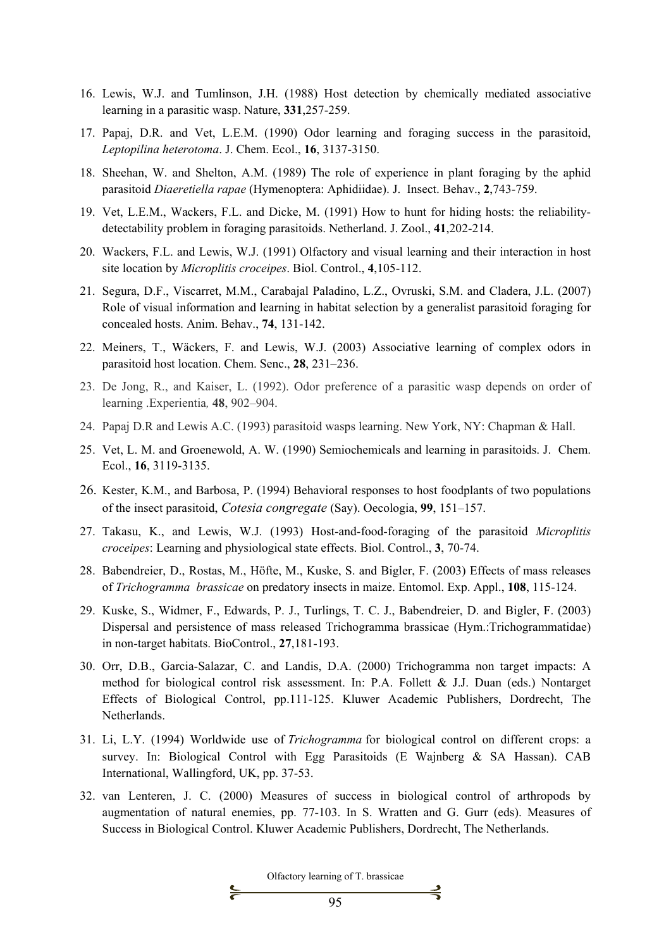- 16. Lewis, W.J. and Tumlinson, J.H. (1988) Host detection by chemically mediated associative learning in a parasitic wasp. Nature, **331**,257-259.
- 17. Papaj, D.R. and Vet, L.E.M. (1990) Odor learning and foraging success in the parasitoid, *Leptopilina heterotoma*. J. Chem. Ecol., **16**, 3137-3150.
- 18. Sheehan, W. and Shelton, A.M. (1989) The role of experience in plant foraging by the aphid parasitoid *Diaeretiella rapae* (Hymenoptera: Aphidiidae). J. Insect. Behav., **2**,743-759.
- 19. Vet, L.E.M., Wackers, F.L. and Dicke, M. (1991) How to hunt for hiding hosts: the reliabilitydetectability problem in foraging parasitoids. Netherland. J. Zool., **41**,202-214.
- 20. Wackers, F.L. and Lewis, W.J. (1991) Olfactory and visual learning and their interaction in host site location by *Microplitis croceipes*. Biol. Control., **4**,105-112.
- 21. Segura, D.F., Viscarret, M.M., Carabajal Paladino, L.Z., Ovruski, S.M. and Cladera, J.L. (2007) Role of visual information and learning in habitat selection by a generalist parasitoid foraging for concealed hosts. Anim. Behav., **74**, 131-142.
- 22. Meiners, T., Wäckers, F. and Lewis, W.J. (2003) Associative learning of complex odors in parasitoid host location. Chem. Senc., **28**, 231–236.
- 23. De Jong, R., and Kaiser, L. (1992). Odor preference of a parasitic wasp depends on order of learning .Experientia*,* **48**, 902–904.
- 24. Papaj D.R and Lewis A.C. (1993) parasitoid wasps learning. New York, NY: Chapman & Hall.
- 25. Vet, L. M. and Groenewold, A. W. (1990) Semiochemicals and learning in parasitoids. J. Chem. Ecol., **16**, 3119-3135.
- 26. Kester, K.M., and Barbosa, P. (1994) Behavioral responses to host foodplants of two populations of the insect parasitoid, *Cotesia congregate* (Say). Oecologia, **99**, 151–157.
- 27. Takasu, K., and Lewis, W.J. (1993) Host-and-food-foraging of the parasitoid *Microplitis croceipes*: Learning and physiological state effects. Biol. Control., **3**, 70-74.
- 28. Babendreier, D., Rostas, M., Höfte, M., Kuske, S. and Bigler, F. (2003) Effects of mass releases of *Trichogramma brassicae* on predatory insects in maize. Entomol. Exp. Appl., **108**, 115-124.
- 29. Kuske, S., Widmer, F., Edwards, P. J., Turlings, T. C. J., Babendreier, D. and Bigler, F. (2003) Dispersal and persistence of mass released Trichogramma brassicae (Hym.:Trichogrammatidae) in non-target habitats. BioControl., **27**,181-193.
- 30. Orr, D.B., Garcia-Salazar, C. and Landis, D.A. (2000) Trichogramma non target impacts: A method for biological control risk assessment. In: P.A. Follett & J.J. Duan (eds.) Nontarget Effects of Biological Control, pp.111-125. Kluwer Academic Publishers, Dordrecht, The Netherlands.
- 31. Li, L.Y. (1994) Worldwide use of *Trichogramma* for biological control on different crops: a survey. In: Biological Control with Egg Parasitoids (E Wajnberg & SA Hassan). CAB International, Wallingford, UK, pp. 37-53.
- 32. van Lenteren, J. C. (2000) Measures of success in biological control of arthropods by augmentation of natural enemies, pp. 77-103. In S. Wratten and G. Gurr (eds). Measures of Success in Biological Control. Kluwer Academic Publishers, Dordrecht, The Netherlands.

Olfactory learning of T. brassicae